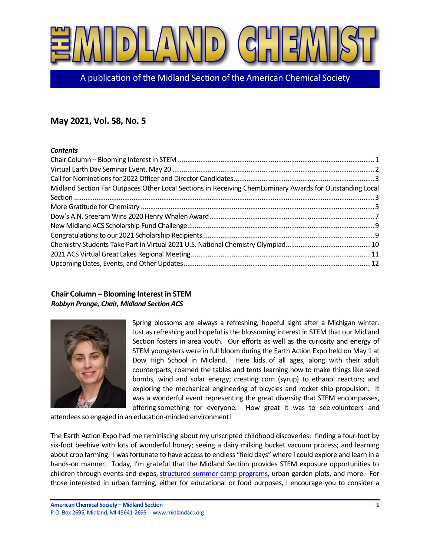

A publication of the Midland Section of the American Chemical Society

# **May 2021, Vol. 58, No. 5**

#### *Contents*

| Midland Section Far Outpaces Other Local Sections in Receiving ChemLuminary Awards for Outstanding Local |  |
|----------------------------------------------------------------------------------------------------------|--|
|                                                                                                          |  |
|                                                                                                          |  |
|                                                                                                          |  |
|                                                                                                          |  |
|                                                                                                          |  |
|                                                                                                          |  |
|                                                                                                          |  |
|                                                                                                          |  |

## <span id="page-0-0"></span>**Chair Column – Blooming Interest in STEM** *Robbyn Prange, Chair, Midland Section ACS*



Spring blossoms are always a refreshing, hopeful sight after a Michigan winter. Just as refreshing and hopeful is the blossoming interest in STEM that our Midland Section fosters in area youth. Our efforts as well as the curiosity and energy of STEM youngsters were in full bloom during the Earth Action Expo held on May 1 at Dow High School in Midland. Here kids of all ages, along with their adult counterparts, roamed the tables and tents learning how to make things like seed bombs, wind and solar energy; creating corn (syrup) to ethanol reactors; and exploring the mechanical engineering of bicycles and rocket ship propulsion. It was a wonderful event representing the great diversity that STEM encompasses, offering something for everyone. How great it was to see volunteers and

attendees so engaged in an education-minded environment!

The Earth Action Expo had me reminiscing about my unscripted childhood discoveries: finding a four-foot by six-foot beehive with lots of wonderful honey; seeing a dairy milking bucket vacuum process; and learning about crop farming. I was fortunate to have access to endless "field days" where I could explore and learn in a hands-on manner. Today, I'm grateful that the Midland Section provides STEM exposure opportunities to children through events and expos, structured summer camp programs, urban garden plots, and more. For those interested in urban farming, either for educational or food purposes, I encourage you to consider a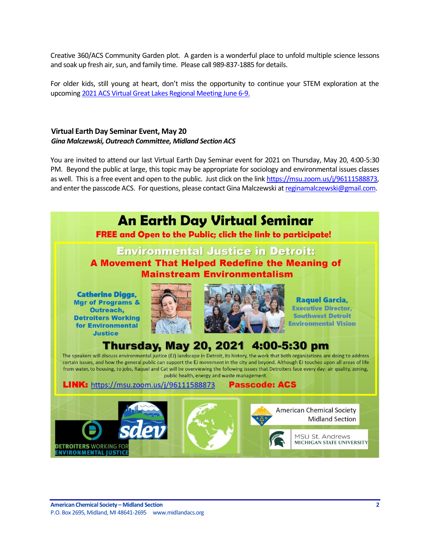Creative 360/ACS Community Garden plot. A garden is a wonderful place to unfold multiple science lessons and soak up fresh air, sun, and family time. Please call 989-837-1885 for details.

For older kids, still young at heart, don't miss the opportunity to continue your STEM exploration at the upcomin[g 2021 ACS Virtual Great Lakes Regional Meeting June 6-9.](https://nam04.safelinks.protection.outlook.com/?url=https%3A%2F%2Fwww.glrm2021.org%2F&data=04%7C01%7CRPrange%40dow.com%7C995c321148364ad27bf108d90e30e780%7Cc3e32f53cb7f4809968d1cc4ccc785fe%7C0%7C0%7C637556425467293143%7CUnknown%7CTWFpbGZsb3d8eyJWIjoiMC4wLjAwMDAiLCJQIjoiV2luMzIiLCJBTiI6Ik1haWwiLCJXVCI6Mn0%3D%7C1000&sdata=JucpgqeN3kkzqgtvCkx4%2FsEaKb9ypiAKxWvC%2BicUn9c%3D&reserved=0)

#### <span id="page-1-0"></span>**Virtual Earth Day Seminar Event, May 20** *Gina Malczewski, Outreach Committee, Midland Section ACS*

You are invited to attend our last Virtual Earth Day Seminar event for 2021 on Thursday, May 20, 4:00-5:30 PM. Beyond the public at large, this topic may be appropriate for sociology and environmental issues classes as well. This is a free event and open to the public. Just click on the lin[k https://msu.zoom.us/j/96111588873,](https://msu.zoom.us/j/96111588873) and enter the passcode ACS. For questions, please contact Gina Malczewski a[t reginamalczewski@gmail.com.](mailto:reginamalczewski@gmail.com)

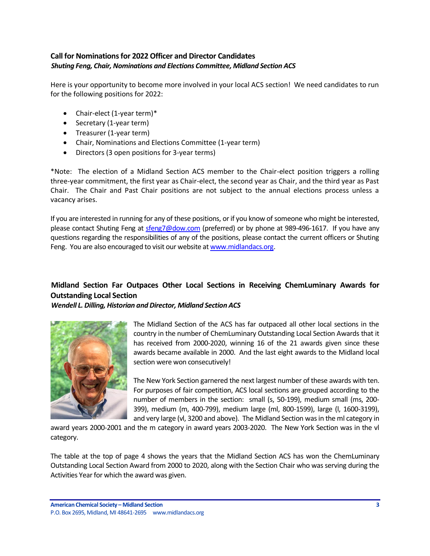## <span id="page-2-0"></span>**Call for Nominations for 2022 Officer and Director Candidates** *Shuting Feng, Chair, Nominations and Elections Committee, Midland Section ACS*

Here is your opportunity to become more involved in your local ACS section! We need candidates to run for the following positions for 2022:

- Chair-elect (1-year term)\*
- Secretary (1-year term)
- Treasurer (1-year term)
- Chair, Nominations and Elections Committee (1-year term)
- Directors (3 open positions for 3-year terms)

\*Note: The election of a Midland Section ACS member to the Chair-elect position triggers a rolling three-year commitment, the first year as Chair-elect, the second year as Chair, and the third year as Past Chair. The Chair and Past Chair positions are not subject to the annual elections process unless a vacancy arises.

If you are interested in running for any of these positions, or if you know of someone who might be interested, please contact Shuting Feng at [sfeng7@dow.com](mailto:sfeng7@dow.com) (preferred) or by phone at 989-496-1617. If you have any questions regarding the responsibilities of any of the positions, please contact the current officers or Shuting Feng. You are also encouraged to visit our website a[t www.midlandacs.org.](http://www.midlandacs.org/)

## <span id="page-2-1"></span>**Midland Section Far Outpaces Other Local Sections in Receiving ChemLuminary Awards for Outstanding Local Section**

*Wendell L. Dilling, Historian and Director, Midland Section ACS*



The Midland Section of the ACS has far outpaced all other local sections in the country in the number of ChemLuminary Outstanding Local Section Awards that it has received from 2000-2020, winning 16 of the 21 awards given since these awards became available in 2000. And the last eight awards to the Midland local section were won consecutively!

The New York Section garnered the next largest number of these awards with ten. For purposes of fair competition, ACS local sections are grouped according to the number of members in the section: small (s, 50-199), medium small (ms, 200- 399), medium (m, 400-799), medium large (ml, 800-1599), large (l, 1600-3199), and very large (vl, 3200 and above). The Midland Section was in the ml category in

award years 2000-2001 and the m category in award years 2003-2020. The New York Section was in the vl category.

The table at the top of page 4 shows the years that the Midland Section ACS has won the ChemLuminary Outstanding Local Section Award from 2000 to 2020, along with the Section Chair who was serving during the Activities Year for which the award was given.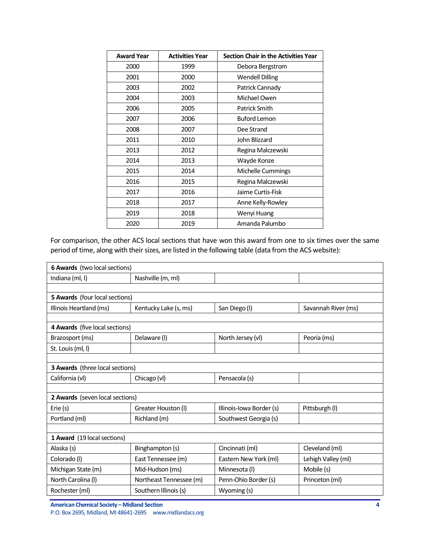| <b>Award Year</b> | <b>Activities Year</b> | <b>Section Chair in the Activities Year</b> |  |  |  |
|-------------------|------------------------|---------------------------------------------|--|--|--|
| 2000              | 1999                   | Debora Bergstrom                            |  |  |  |
| 2001              | 2000                   | <b>Wendell Dilling</b>                      |  |  |  |
| 2003              | 2002                   | Patrick Cannady                             |  |  |  |
| 2004              | 2003                   | Michael Owen                                |  |  |  |
| 2006              | 2005                   | Patrick Smith                               |  |  |  |
| 2007              | 2006                   | <b>Buford Lemon</b>                         |  |  |  |
| 2008              | 2007                   | Dee Strand                                  |  |  |  |
| 2011              | 2010                   | John Blizzard                               |  |  |  |
| 2013              | 2012                   | Regina Malczewski                           |  |  |  |
| 2014              | 2013                   | Wayde Konze                                 |  |  |  |
| 2015              | 2014                   | Michelle Cummings                           |  |  |  |
| 2016              | 2015                   | Regina Malczewski                           |  |  |  |
| 2017              | 2016                   | Jaime Curtis-Fisk                           |  |  |  |
| 2018              | 2017                   | Anne Kelly-Rowley                           |  |  |  |
| 2019              | 2018                   | Wenyi Huang                                 |  |  |  |
| 2020              | 2019                   | Amanda Palumbo                              |  |  |  |

For comparison, the other ACS local sections that have won this award from one to six times over the same period of time, along with their sizes, are listed in the following table (data from the ACS website):

| 6 Awards (two local sections)         |                         |                          |                     |  |  |  |
|---------------------------------------|-------------------------|--------------------------|---------------------|--|--|--|
| Indiana (ml, l)                       | Nashville (m, ml)       |                          |                     |  |  |  |
|                                       |                         |                          |                     |  |  |  |
| <b>5 Awards</b> (four local sections) |                         |                          |                     |  |  |  |
| Illinois Heartland (ms)               | Kentucky Lake (s, ms)   | San Diego (I)            | Savannah River (ms) |  |  |  |
|                                       |                         |                          |                     |  |  |  |
| 4 Awards (five local sections)        |                         |                          |                     |  |  |  |
| Brazosport (ms)                       | Delaware (I)            | North Jersey (vl)        | Peoria (ms)         |  |  |  |
| St. Louis (ml, l)                     |                         |                          |                     |  |  |  |
|                                       |                         |                          |                     |  |  |  |
| 3 Awards (three local sections)       |                         |                          |                     |  |  |  |
| California (vl)                       | Chicago (vl)            | Pensacola (s)            |                     |  |  |  |
|                                       |                         |                          |                     |  |  |  |
| 2 Awards (seven local sections)       |                         |                          |                     |  |  |  |
| Erie (s)                              | Greater Houston (I)     | Illinois-Iowa Border (s) | Pittsburgh (I)      |  |  |  |
| Portland (ml)                         | Richland (m)            | Southwest Georgia (s)    |                     |  |  |  |
|                                       |                         |                          |                     |  |  |  |
| 1 Award (19 local sections)           |                         |                          |                     |  |  |  |
| Alaska (s)                            | Binghampton (s)         | Cincinnati (ml)          | Cleveland (ml)      |  |  |  |
| Colorado (I)                          | East Tennessee (m)      | Eastern New York (ml)    | Lehigh Valley (ml)  |  |  |  |
| Michigan State (m)                    | Mid-Hudson (ms)         | Minnesota (I)            | Mobile (s)          |  |  |  |
| North Carolina (I)                    | Northeast Tennessee (m) | Penn-Ohio Border (s)     | Princeton (ml)      |  |  |  |
| Rochester (ml)                        | Southern Illinois (s)   | Wyoming (s)              |                     |  |  |  |

**American Chemical Society – Midland Section 4** P.O. Box 2695, Midland, MI 48641-2695 www.midlandacs.org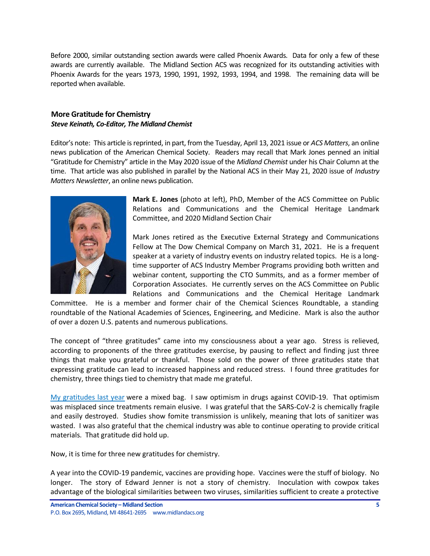Before 2000, similar outstanding section awards were called Phoenix Awards. Data for only a few of these awards are currently available. The Midland Section ACS was recognized for its outstanding activities with Phoenix Awards for the years 1973, 1990, 1991, 1992, 1993, 1994, and 1998. The remaining data will be reported when available.

#### <span id="page-4-0"></span>**More Gratitude for Chemistry** *Steve Keinath, Co-Editor, The Midland Chemist*

Editor's note: This article is reprinted, in part, from the Tuesday, April 13, 2021 issue or *ACS Matters*, an online news publication of the American Chemical Society. Readers may recall that Mark Jones penned an initial "Gratitude for Chemistry" article in the May 2020 issue of the *Midland Chemist* under his Chair Column at the time. That article was also published in parallel by the National ACS in their May 21, 2020 issue of *Industry Matters Newsletter*, an online news publication.



**Mark E. Jones** (photo at left), PhD, Member of the ACS Committee on Public Relations and Communications and the Chemical Heritage Landmark Committee, and 2020 Midland Section Chair

Mark Jones retired as the Executive External Strategy and Communications Fellow at The Dow Chemical Company on March 31, 2021. He is a frequent speaker at a variety of industry events on industry related topics. He is a longtime supporter of ACS Industry Member Programs providing both written and webinar content, supporting the CTO Summits, and as a former member of Corporation Associates. He currently serves on the ACS Committee on Public Relations and Communications and the Chemical Heritage Landmark

Committee. He is a member and former chair of the Chemical Sciences Roundtable, a standing roundtable of the National Academies of Sciences, Engineering, and Medicine. Mark is also the author of over a dozen U.S. patents and numerous publications.

The concept of "three gratitudes" came into my consciousness about a year ago. Stress is relieved, according to proponents of the three gratitudes exercise, by pausing to reflect and finding just three things that make you grateful or thankful. Those sold on the power of three gratitudes state that expressing gratitude can lead to increased happiness and reduced stress. I found three gratitudes for chemistry, three things tied to chemistry that made me grateful.

[My gratitudes last year](https://www.acs.org/content/acs/en/industry/industry-matters/mark-jones-may-21-2020.html) were a mixed bag. I saw optimism in drugs against COVID-19. That optimism was misplaced since treatments remain elusive. I was grateful that the SARS-CoV-2 is chemically fragile and easily destroyed. Studies show fomite transmission is unlikely, meaning that lots of sanitizer was wasted. I was also grateful that the chemical industry was able to continue operating to provide critical materials. That gratitude did hold up.

Now, it is time for three new gratitudes for chemistry.

A year into the COVID-19 pandemic, vaccines are providing hope. Vaccines were the stuff of biology. No longer. The story of Edward Jenner is not a story of chemistry. Inoculation with cowpox takes advantage of the biological similarities between two viruses, similarities sufficient to create a protective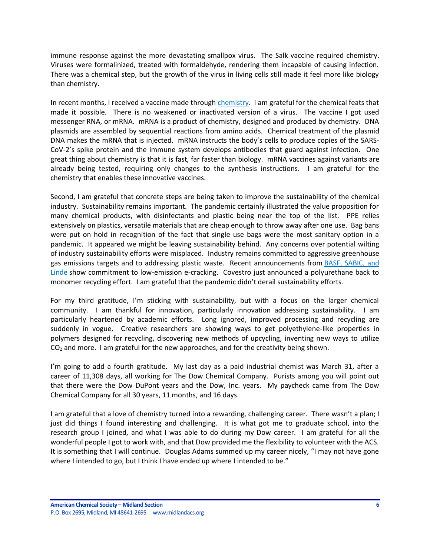immune response against the more devastating smallpox virus. The Salk vaccine required chemistry. Viruses were formalinized, treated with formaldehyde, rendering them incapable of causing infection. There was a chemical step, but the growth of the virus in living cells still made it feel more like biology than chemistry.

In recent months, I received a vaccine made through *chemistry*. I am grateful for the chemical feats that made it possible. There is no weakened or inactivated version of a virus. The vaccine I got used messenger RNA, or mRNA. mRNA is a product of chemistry, designed and produced by chemistry. DNA plasmids are assembled by sequential reactions from amino acids. Chemical treatment of the plasmid DNA makes the mRNA that is injected. mRNA instructs the body's cells to produce copies of the SARS-CoV-2's spike protein and the immune system develops antibodies that guard against infection. One great thing about chemistry is that it is fast, far faster than biology. mRNA vaccines against variants are already being tested, requiring only changes to the synthesis instructions. I am grateful for the chemistry that enables these innovative vaccines.

Second, I am grateful that concrete steps are being taken to improve the sustainability of the chemical industry. Sustainability remains important. The pandemic certainly illustrated the value proposition for many chemical products, with disinfectants and plastic being near the top of the list. PPE relies extensively on plastics, versatile materials that are cheap enough to throw away after one use. Bag bans were put on hold in recognition of the fact that single use bags were the most sanitary option in a pandemic. It appeared we might be leaving sustainability behind. Any concerns over potential wilting of industry sustainability efforts were misplaced. Industry remains committed to aggressive greenhouse gas emissions targets and to addressing plastic waste. Recent announcements from [BASF, SABIC,](https://cen.acs.org/business/petrochemicals/Sabic-BASF-Linde-join-electric/99/i11?ref=search_results) and [Linde](https://cen.acs.org/business/petrochemicals/Sabic-BASF-Linde-join-electric/99/i11?ref=search_results) show commitment to low-emission e-cracking. Covestro just announced a polyurethane back to monomer recycling effort. I am grateful that the pandemic didn't derail sustainability efforts.

For my third gratitude, I'm sticking with sustainability, but with a focus on the larger chemical community. I am thankful for innovation, particularly innovation addressing sustainability. I am particularly heartened by academic efforts. Long ignored, improved processing and recycling are suddenly in vogue. Creative researchers are showing ways to get polyethylene-like properties in polymers designed for recycling, discovering new methods of upcycling, inventing new ways to utilize  $CO<sub>2</sub>$  and more. I am grateful for the new approaches, and for the creativity being shown.

I'm going to add a fourth gratitude. My last day as a paid industrial chemist was March 31, after a career of 11,308 days, all working for The Dow Chemical Company. Purists among you will point out that there were the Dow DuPont years and the Dow, Inc. years. My paycheck came from The Dow Chemical Company for all 30 years, 11 months, and 16 days.

I am grateful that a love of chemistry turned into a rewarding, challenging career. There wasn't a plan; I just did things I found interesting and challenging. It is what got me to graduate school, into the research group I joined, and what I was able to do during my Dow career. I am grateful for all the wonderful people I got to work with, and that Dow provided me the flexibility to volunteer with the ACS. It is something that I will continue. Douglas Adams summed up my career nicely, "I may not have gone where I intended to go, but I think I have ended up where I intended to be."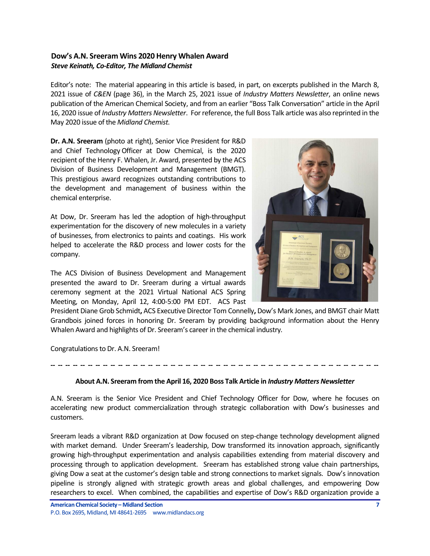## <span id="page-6-0"></span>**Dow's A.N. Sreeram Wins 2020 Henry Whalen Award** *Steve Keinath, Co-Editor, The Midland Chemist*

Editor's note: The material appearing in this article is based, in part, on excerpts published in the March 8, 2021 issue of *C&EN* (page 36), in the March 25, 2021 issue of *Industry Matters Newsletter*, an online news publication of the American Chemical Society, and from an earlier "Boss Talk Conversation" article in the April 16, 2020 issue of *Industry Matters Newsletter*. For reference, the full Boss Talk article was also reprinted in the May 2020 issue of the *Midland Chemist*.

**Dr. A.N. Sreeram** (photo at right), Senior Vice President for R&D and Chief Technology Officer at Dow Chemical, is the 2020 recipient of the Henry F. Whalen, Jr. Award, presented by the ACS Division of Business Development and Management (BMGT). This prestigious award recognizes outstanding contributions to the development and management of business within the chemical enterprise.

At Dow, Dr. Sreeram has led the adoption of high-throughput experimentation for the discovery of new molecules in a variety of businesses, from electronics to paints and coatings. His work helped to accelerate the R&D process and lower costs for the company.

The ACS Division of Business Development and Management presented the award to Dr. Sreeram during a virtual awards ceremony segment at the 2021 Virtual National ACS Spring Meeting, on Monday, April 12, 4:00-5:00 PM EDT. ACS Past



Congratulations to Dr. A.N. Sreeram!

#### **About A.N. Sreeram from the April 16, 2020 Boss Talk Article in** *Industry Matters Newsletter*

**-- -- -- -- -- -- -- -- -- -- -- -- -- -- -- -- -- -- -- -- -- -- -- -- -- -- -- -- -- -- -- -- -- -- -- -- -- -- -- -- -- -- -- --**

A.N. Sreeram is the Senior Vice President and Chief Technology Officer for Dow, where he focuses on accelerating new product commercialization through strategic collaboration with Dow's businesses and customers.

Sreeram leads a vibrant R&D organization at Dow focused on step-change technology development aligned with market demand. Under Sreeram's leadership, Dow transformed its innovation approach, significantly growing high-throughput experimentation and analysis capabilities extending from material discovery and processing through to application development. Sreeram has established strong value chain partnerships, giving Dow a seat at the customer's design table and strong connections to market signals. Dow's innovation pipeline is strongly aligned with strategic growth areas and global challenges, and empowering Dow researchers to excel. When combined, the capabilities and expertise of Dow's R&D organization provide a

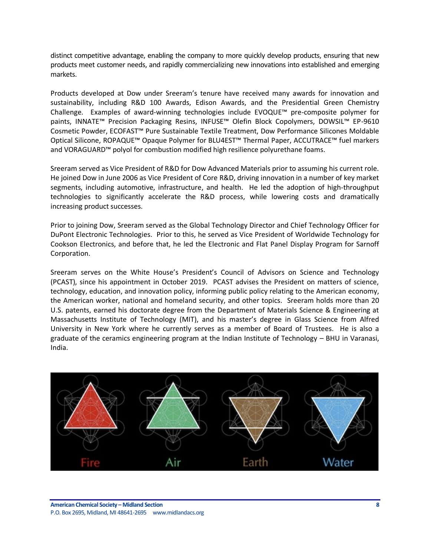distinct competitive advantage, enabling the company to more quickly develop products, ensuring that new products meet customer needs, and rapidly commercializing new innovations into established and emerging markets.

Products developed at Dow under Sreeram's tenure have received many awards for innovation and sustainability, including R&D 100 Awards, Edison Awards, and the Presidential Green Chemistry Challenge. Examples of award-winning technologies include EVOQUE™ pre-composite polymer for paints, INNATE™ Precision Packaging Resins, INFUSE™ Olefin Block Copolymers, DOWSIL™ EP-9610 Cosmetic Powder, ECOFAST™ Pure Sustainable Textile Treatment, Dow Performance Silicones Moldable Optical Silicone, ROPAQUE™ Opaque Polymer for BLU4EST™ Thermal Paper, ACCUTRACE™ fuel markers and VORAGUARD™ polyol for combustion modified high resilience polyurethane foams.

Sreeram served as Vice President of R&D for Dow Advanced Materials prior to assuming his current role. He joined Dow in June 2006 as Vice President of Core R&D, driving innovation in a number of key market segments, including automotive, infrastructure, and health. He led the adoption of high-throughput technologies to significantly accelerate the R&D process, while lowering costs and dramatically increasing product successes.

Prior to joining Dow, Sreeram served as the Global Technology Director and Chief Technology Officer for DuPont Electronic Technologies. Prior to this, he served as Vice President of Worldwide Technology for Cookson Electronics, and before that, he led the Electronic and Flat Panel Display Program for Sarnoff Corporation.

Sreeram serves on the White House's President's Council of Advisors on Science and Technology (PCAST), since his appointment in October 2019. PCAST advises the President on matters of science, technology, education, and innovation policy, informing public policy relating to the American economy, the American worker, national and homeland security, and other topics. Sreeram holds more than 20 U.S. patents, earned his doctorate degree from the Department of Materials Science & Engineering at Massachusetts Institute of Technology (MIT), and his master's degree in Glass Science from Alfred University in New York where he currently serves as a member of Board of Trustees. He is also a graduate of the ceramics engineering program at the Indian Institute of Technology – BHU in Varanasi, India.

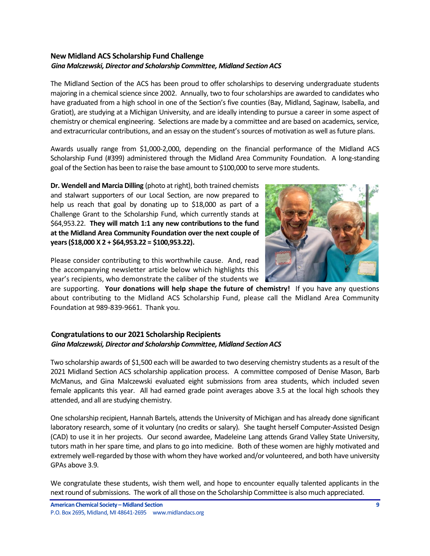## <span id="page-8-0"></span>**New Midland ACS Scholarship Fund Challenge** *Gina Malczewski, Director and Scholarship Committee, Midland Section ACS*

The Midland Section of the ACS has been proud to offer scholarships to deserving undergraduate students majoring in a chemical science since 2002. Annually, two to four scholarships are awarded to candidates who have graduated from a high school in one of the Section's five counties (Bay, Midland, Saginaw, Isabella, and Gratiot), are studying at a Michigan University, and are ideally intending to pursue a career in some aspect of chemistry or chemical engineering. Selections are made by a committee and are based on academics, service, and extracurricular contributions, and an essay on the student's sources of motivation as well as future plans.

Awards usually range from \$1,000-2,000, depending on the financial performance of the Midland ACS Scholarship Fund (#399) administered through the Midland Area Community Foundation. A long-standing goal of the Section has been to raise the base amount to \$100,000 to serve more students.

**Dr. Wendell and Marcia Dilling** (photo at right), both trained chemists and stalwart supporters of our Local Section, are now prepared to help us reach that goal by donating up to \$18,000 as part of a Challenge Grant to the Scholarship Fund, which currently stands at \$64,953.22. **They will match 1:1 any new contributions to the fund at the Midland Area Community Foundation over the next couple of years (\$18,000 X 2 + \$64,953.22 = \$100,953.22).**



Please consider contributing to this worthwhile cause. And, read the accompanying newsletter article below which highlights this year's recipients, who demonstrate the caliber of the students we

are supporting. **Your donations will help shape the future of chemistry!** If you have any questions about contributing to the Midland ACS Scholarship Fund, please call the Midland Area Community Foundation at 989-839-9661. Thank you.

### <span id="page-8-1"></span>**Congratulations to our 2021 Scholarship Recipients** *Gina Malczewski, Director and Scholarship Committee, Midland Section ACS*

Two scholarship awards of \$1,500 each will be awarded to two deserving chemistry students as a result of the 2021 Midland Section ACS scholarship application process. A committee composed of Denise Mason, Barb McManus, and Gina Malczewski evaluated eight submissions from area students, which included seven female applicants this year. All had earned grade point averages above 3.5 at the local high schools they attended, and all are studying chemistry.

One scholarship recipient, Hannah Bartels, attends the University of Michigan and has already done significant laboratory research, some of it voluntary (no credits or salary). She taught herself Computer-Assisted Design (CAD) to use it in her projects. Our second awardee, Madeleine Lang attends Grand Valley State University, tutors math in her spare time, and plans to go into medicine. Both of these women are highly motivated and extremely well-regarded by those with whom they have worked and/or volunteered, and both have university GPAs above 3.9.

We congratulate these students, wish them well, and hope to encounter equally talented applicants in the next round of submissions. The work of all those on the Scholarship Committee is also much appreciated.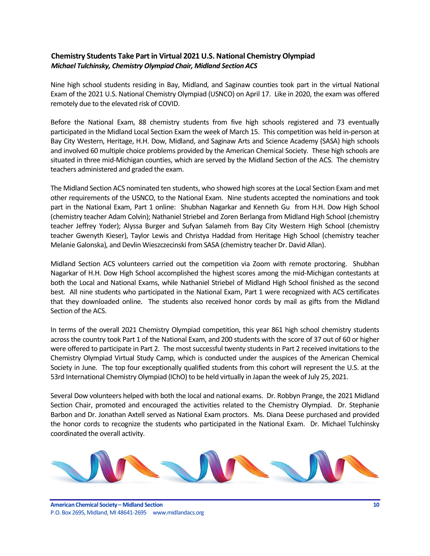## <span id="page-9-0"></span>**Chemistry Students Take Part in Virtual 2021 U.S. National Chemistry Olympiad** *Michael Tulchinsky, Chemistry Olympiad Chair, Midland Section ACS*

Nine high school students residing in Bay, Midland, and Saginaw counties took part in the virtual National Exam of the 2021 U.S. National Chemistry Olympiad (USNCO) on April 17. Like in 2020, the exam was offered remotely due to the elevated risk of COVID.

Before the National Exam, 88 chemistry students from five high schools registered and 73 eventually participated in the Midland Local Section Exam the week of March 15. This competition was held in-person at Bay City Western, Heritage, H.H. Dow, Midland, and Saginaw Arts and Science Academy (SASA) high schools and involved 60 multiple choice problems provided by the American Chemical Society. These high schools are situated in three mid-Michigan counties, which are served by the Midland Section of the ACS. The chemistry teachers administered and graded the exam.

The Midland Section ACS nominated ten students, who showed high scores at the Local Section Exam and met other requirements of the USNCO, to the National Exam. Nine students accepted the nominations and took part in the National Exam, Part 1 online: Shubhan Nagarkar and Kenneth Gu from H.H. Dow High School (chemistry teacher Adam Colvin); Nathaniel Striebel and Zoren Berlanga from Midland High School (chemistry teacher Jeffrey Yoder); Alyssa Burger and Sufyan Salameh from Bay City Western High School (chemistry teacher Gwenyth Kieser), Taylor Lewis and Christya Haddad from Heritage High School (chemistry teacher Melanie Galonska), and Devlin Wieszczecinski from SASA (chemistry teacher Dr. David Allan).

Midland Section ACS volunteers carried out the competition via Zoom with remote proctoring. Shubhan Nagarkar of H.H. Dow High School accomplished the highest scores among the mid-Michigan contestants at both the Local and National Exams, while Nathaniel Striebel of Midland High School finished as the second best. All nine students who participated in the National Exam, Part 1 were recognized with ACS certificates that they downloaded online. The students also received honor cords by mail as gifts from the Midland Section of the ACS.

In terms of the overall 2021 Chemistry Olympiad competition, this year 861 high school chemistry students across the country took Part 1 of the National Exam, and 200 students with the score of 37 out of 60 or higher were offered to participate in Part 2. The most successful twenty students in Part 2 received invitations to the Chemistry Olympiad Virtual Study Camp, which is conducted under the auspices of the American Chemical Society in June. The top four exceptionally qualified students from this cohort will represent the U.S. at the 53rd International Chemistry Olympiad (IChO) to be held virtually in Japan the week of July 25, 2021.

Several Dow volunteers helped with both the local and national exams. Dr. Robbyn Prange, the 2021 Midland Section Chair, promoted and encouraged the activities related to the Chemistry Olympiad. Dr. Stephanie Barbon and Dr. Jonathan Axtell served as National Exam proctors. Ms. Diana Deese purchased and provided the honor cords to recognize the students who participated in the National Exam. Dr. Michael Tulchinsky coordinated the overall activity.

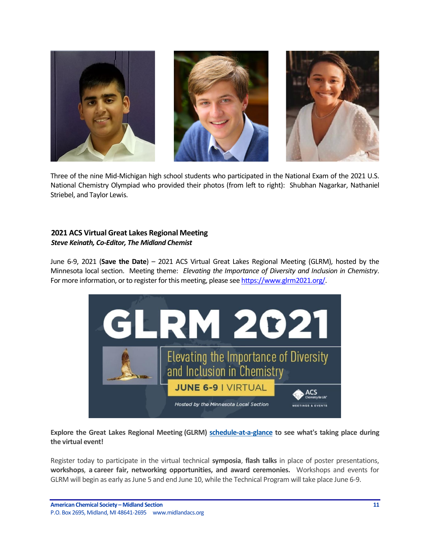

Three of the nine Mid-Michigan high school students who participated in the National Exam of the 2021 U.S. National Chemistry Olympiad who provided their photos (from left to right): Shubhan Nagarkar, Nathaniel Striebel, and Taylor Lewis.

#### <span id="page-10-0"></span>**2021 ACS Virtual Great Lakes Regional Meeting** *Steve Keinath, Co-Editor, The Midland Chemist*

June 6-9, 2021 (**Save the Date**) – 2021 ACS Virtual Great Lakes Regional Meeting (GLRM), hosted by the Minnesota local section. Meeting theme: *Elevating the Importance of Diversity and Inclusion in Chemistry*. For more information, or to register for this meeting, please see [https://www.glrm2021.org/.](https://www.glrm2021.org/)



**Explore the Great Lakes Regional Meeting (GLRM) [schedule-at-a-glance](http://app.connect.discoveracs.org/e/er?s=341921710&lid=9890&elqTrackId=E65EB73721D618583E6E52D840C75143&elq=4b7f1203d41a4825a01a4ac8d4922b2d&elqaid=3361&elqat=1) to see what's taking place during the virtual event!**

Register today to participate in the virtual technical **symposia**, **flash talks** in place of poster presentations, **workshops**, **a career fair, networking opportunities, and award ceremonies.** Workshops and events for GLRM will begin as early as June 5 and end June 10, while the Technical Program will take place June 6-9.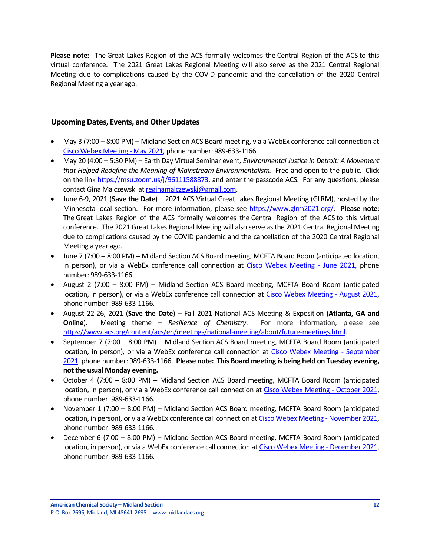**Please note:** The Great Lakes Region of the ACS formally welcomes the Central Region of the ACS to this virtual conference. The 2021 Great Lakes Regional Meeting will also serve as the 2021 Central Regional Meeting due to complications caused by the COVID pandemic and the cancellation of the 2020 Central Regional Meeting a year ago.

#### <span id="page-11-0"></span>**Upcoming Dates, Events, and Other Updates**

- May 3 (7:00 8:00 PM) Midland Section ACS Board meeting, via a WebEx conference call connection at [Cisco Webex Meeting -](https://laurenmccullough.my.webex.com/webappng/sites/laurenmccullough.my/meeting/download/1fe34d004133d24e0415cae3b860f29e) May 2021, phone number: 989-633-1166.
- May 20 (4:00 5:30 PM) Earth Day Virtual Seminar event, *Environmental Justice in Detroit: A Movement that Helped Redefine the Meaning of Mainstream Environmentalism.* Free and open to the public. Click on the lin[k https://msu.zoom.us/j/96111588873,](https://msu.zoom.us/j/96111588873) and enter the passcode ACS. For any questions, please contact Gina Malczewski a[t reginamalczewski@gmail.com.](mailto:reginamalczewski@gmail.com)
- June 6-9, 2021 (**Save the Date**) 2021 ACS Virtual Great Lakes Regional Meeting (GLRM), hosted by the Minnesota local section. For more information, please see [https://www.glrm2021.org/.](https://www.glrm2021.org/) **Please note:** The Great Lakes Region of the ACS formally welcomes the Central Region of the ACS to this virtual conference. The 2021 Great Lakes Regional Meeting will also serve as the 2021 Central Regional Meeting due to complications caused by the COVID pandemic and the cancellation of the 2020 Central Regional Meeting a year ago.
- June 7 (7:00 8:00 PM) Midland Section ACS Board meeting, MCFTA Board Room (anticipated location, in person), or via a WebEx conference call connection at [Cisco Webex Meeting -](https://laurenmccullough.my.webex.com/webappng/sites/laurenmccullough.my/meeting/download/1fe34d004133d24e0415cae3b860f29e) June 2021, phone number: 989-633-1166.
- August 2 (7:00 8:00 PM) Midland Section ACS Board meeting, MCFTA Board Room (anticipated location, in person), or via a WebEx conference call connection at [Cisco Webex Meeting -](https://laurenmccullough.my.webex.com/webappng/sites/laurenmccullough.my/meeting/download/1fe34d004133d24e0415cae3b860f29e) August 2021, phone number: 989-633-1166.
- August 22-26, 2021 (**Save the Date**) Fall 2021 National ACS Meeting & Exposition (**Atlanta, GA and Online**). Meeting theme – *Resilience of Chemistry*. For more information, please see [https://www.acs.org/content/acs/en/meetings/national-meeting/about/future-meetings.html.](https://www.acs.org/content/acs/en/meetings/national-meeting/about/future-meetings.html)
- September 7 (7:00 8:00 PM) Midland Section ACS Board meeting, MCFTA Board Room (anticipated location, in person), or via a WebEx conference call connection at [Cisco Webex Meeting -](https://laurenmccullough.my.webex.com/webappng/sites/laurenmccullough.my/meeting/download/1fe34d004133d24e0415cae3b860f29e) September [2021,](https://laurenmccullough.my.webex.com/webappng/sites/laurenmccullough.my/meeting/download/1fe34d004133d24e0415cae3b860f29e) phone number: 989-633-1166. **Please note: This Board meeting is being held on Tuesday evening, not the usual Monday evening.**
- October 4 (7:00 8:00 PM) Midland Section ACS Board meeting, MCFTA Board Room (anticipated location, in person), or via a WebEx conference call connection at [Cisco Webex Meeting -](https://laurenmccullough.my.webex.com/webappng/sites/laurenmccullough.my/meeting/download/1fe34d004133d24e0415cae3b860f29e) October 2021, phone number: 989-633-1166.
- November 1 (7:00 8:00 PM) Midland Section ACS Board meeting, MCFTA Board Room (anticipated location, in person), or via a WebEx conference call connection a[t Cisco Webex Meeting -](https://laurenmccullough.my.webex.com/webappng/sites/laurenmccullough.my/meeting/download/1fe34d004133d24e0415cae3b860f29e) November 2021, phone number: 989-633-1166.
- December 6 (7:00 8:00 PM) Midland Section ACS Board meeting, MCFTA Board Room (anticipated location, in person), or via a WebEx conference call connection a[t Cisco Webex Meeting -](https://laurenmccullough.my.webex.com/webappng/sites/laurenmccullough.my/meeting/download/1fe34d004133d24e0415cae3b860f29e) December 2021, phone number: 989-633-1166.